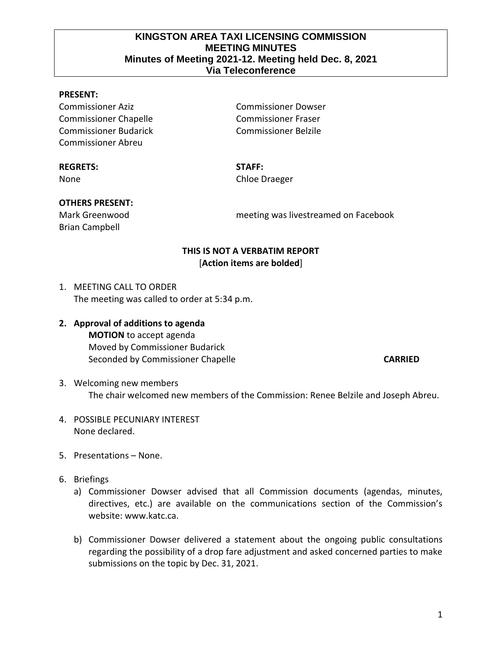## **KINGSTON AREA TAXI LICENSING COMMISSION MEETING MINUTES Minutes of Meeting 2021-12. Meeting held Dec. 8, 2021 Via Teleconference**

#### **PRESENT:**

Commissioner Aziz Commissioner Dowser Commissioner Chapelle Commissioner Fraser Commissioner Budarick Commissioner Belzile Commissioner Abreu

#### **REGRETS: STAFF:**

None Chloe Draeger

# **OTHERS PRESENT:**

Brian Campbell

Mark Greenwood meeting was livestreamed on Facebook

## **THIS IS NOT A VERBATIM REPORT** [**Action items are bolded**]

- 1. MEETING CALL TO ORDER The meeting was called to order at 5:34 p.m.
- **2. Approval of additions to agenda MOTION** to accept agenda Moved by Commissioner Budarick Seconded by Commissioner Chapelle **CARRIED**

- 3. Welcoming new members The chair welcomed new members of the Commission: Renee Belzile and Joseph Abreu.
- 4. POSSIBLE PECUNIARY INTEREST None declared.
- 5. Presentations None.
- 6. Briefings
	- a) Commissioner Dowser advised that all Commission documents (agendas, minutes, directives, etc.) are available on the communications section of the Commission's website: www.katc.ca.
	- b) Commissioner Dowser delivered a statement about the ongoing public consultations regarding the possibility of a drop fare adjustment and asked concerned parties to make submissions on the topic by Dec. 31, 2021.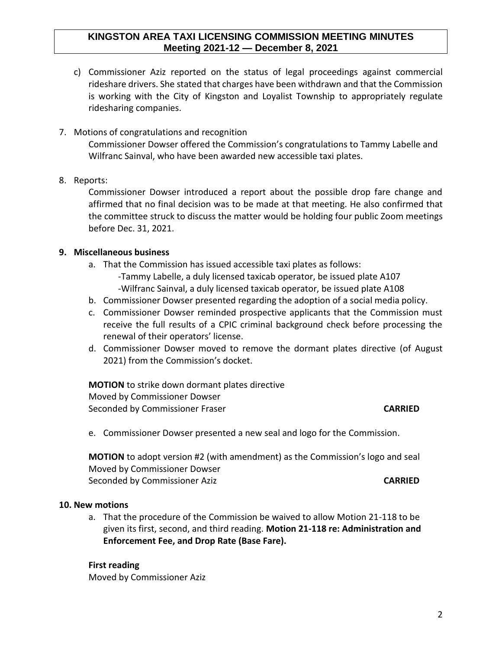## **KINGSTON AREA TAXI LICENSING COMMISSION MEETING MINUTES Meeting 2021-12 — December 8, 2021**

- c) Commissioner Aziz reported on the status of legal proceedings against commercial rideshare drivers. She stated that charges have been withdrawn and that the Commission is working with the City of Kingston and Loyalist Township to appropriately regulate ridesharing companies.
- 7. Motions of congratulations and recognition Commissioner Dowser offered the Commission's congratulations to Tammy Labelle and Wilfranc Sainval, who have been awarded new accessible taxi plates.
- 8. Reports:

Commissioner Dowser introduced a report about the possible drop fare change and affirmed that no final decision was to be made at that meeting. He also confirmed that the committee struck to discuss the matter would be holding four public Zoom meetings before Dec. 31, 2021.

## **9. Miscellaneous business**

- a. That the Commission has issued accessible taxi plates as follows: -Tammy Labelle, a duly licensed taxicab operator, be issued plate A107 -Wilfranc Sainval, a duly licensed taxicab operator, be issued plate A108
- b. Commissioner Dowser presented regarding the adoption of a social media policy.
- c. Commissioner Dowser reminded prospective applicants that the Commission must receive the full results of a CPIC criminal background check before processing the renewal of their operators' license.
- d. Commissioner Dowser moved to remove the dormant plates directive (of August 2021) from the Commission's docket.

**MOTION** to strike down dormant plates directive Moved by Commissioner Dowser Seconded by Commissioner Fraser **CARRIED**

e. Commissioner Dowser presented a new seal and logo for the Commission.

**MOTION** to adopt version #2 (with amendment) as the Commission's logo and seal Moved by Commissioner Dowser Seconded by Commissioner Aziz **CARRIED**

#### **10. New motions**

a. That the procedure of the Commission be waived to allow Motion 21-118 to be given its first, second, and third reading. **Motion 21-118 re: Administration and Enforcement Fee, and Drop Rate (Base Fare).**

**First reading** Moved by Commissioner Aziz